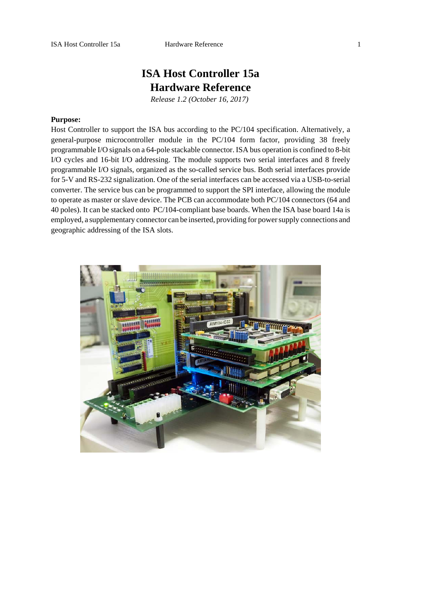# **ISA Host Controller 15a Hardware Reference**

*Release 1.2 (October 16, 2017)* 

### **Purpose:**

Host Controller to support the ISA bus according to the PC/104 specification. Alternatively, a general-purpose microcontroller module in the PC/104 form factor, providing 38 freely programmable I/O signals on a 64-pole stackable connector. ISA bus operation is confined to 8-bit I/O cycles and 16-bit I/O addressing. The module supports two serial interfaces and 8 freely programmable I/O signals, organized as the so-called service bus. Both serial interfaces provide for 5-V and RS-232 signalization. One of the serial interfaces can be accessed via a USB-to-serial converter. The service bus can be programmed to support the SPI interface, allowing the module to operate as master or slave device. The PCB can accommodate both PC/104 connectors (64 and 40 poles). It can be stacked onto PC/104-compliant base boards. When the ISA base board 14a is employed, a supplementary connector can be inserted, providing for power supply connections and geographic addressing of the ISA slots.

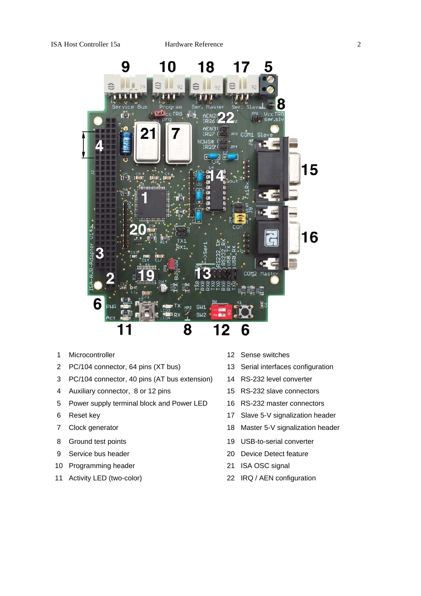

- 1 Microcontroller 12 Sense switches
- 2 PC/104 connector, 64 pins (XT bus) 13 Serial interfaces configuration
- 3 PC/104 connector, 40 pins (AT bus extension) 14 RS-232 level converter
- 4 Auxiliary connector, 8 or 12 pins 15 RS-232 slave connectors
- 5 Power supply terminal block and Power LED 16 RS-232 master connectors
- 
- 
- 
- 
- 10 Programming header 21 ISA OSC signal
- 
- 
- 
- 
- 
- 
- 6 Reset key 17 Slave 5-V signalization header
- 7 Clock generator 18 Master 5-V signalization header
- 8 Ground test points 19 USB-to-serial converter
- 9 Service bus header 20 Device Detect feature
	-
- 11 Activity LED (two-color) 22 IRQ / AEN configuration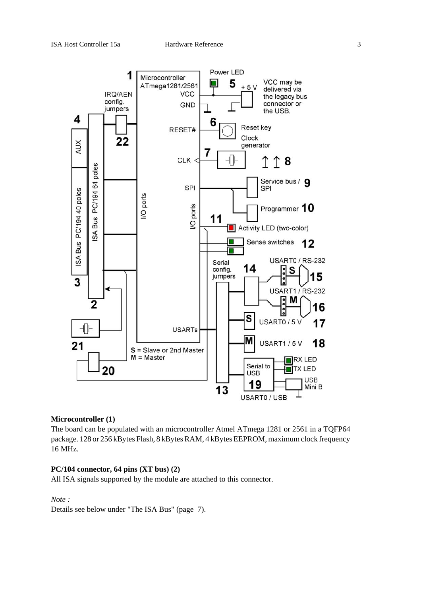

### **Microcontroller (1)**

The board can be populated with an microcontroller Atmel ATmega 1281 or 2561 in a TQFP64 package. 128 or 256 kBytes Flash, 8 kBytes RAM, 4 kBytes EEPROM, maximum clock frequency 16 MHz.

### **PC/104 connector, 64 pins (XT bus) (2)**

All ISA signals supported by the module are attached to this connector.

*Note :*

Details see below under "The ISA Bus" (page 7).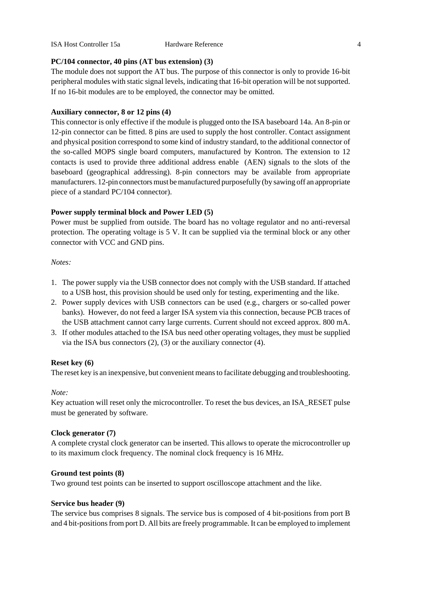### **PC/104 connector, 40 pins (AT bus extension) (3)**

The module does not support the AT bus. The purpose of this connector is only to provide 16-bit peripheral modules with static signal levels, indicating that 16-bit operation will be not supported. If no 16-bit modules are to be employed, the connector may be omitted.

### **Auxiliary connector, 8 or 12 pins (4)**

This connector is only effective if the module is plugged onto the ISA baseboard 14a. An 8-pin or 12-pin connector can be fitted. 8 pins are used to supply the host controller. Contact assignment and physical position correspond to some kind of industry standard, to the additional connector of the so-called MOPS single board computers, manufactured by Kontron. The extension to 12 contacts is used to provide three additional address enable (AEN) signals to the slots of the baseboard (geographical addressing). 8-pin connectors may be available from appropriate manufacturers. 12-pin connectors must be manufactured purposefully (by sawing off an appropriate piece of a standard PC/104 connector).

### **Power supply terminal block and Power LED (5)**

Power must be supplied from outside. The board has no voltage regulator and no anti-reversal protection. The operating voltage is 5 V. It can be supplied via the terminal block or any other connector with VCC and GND pins.

### *Notes:*

- 1. The power supply via the USB connector does not comply with the USB standard. If attached to a USB host, this provision should be used only for testing, experimenting and the like.
- 2. Power supply devices with USB connectors can be used (e.g., chargers or so-called power banks). However, do not feed a larger ISA system via this connection, because PCB traces of the USB attachment cannot carry large currents. Current should not exceed approx. 800 mA.
- 3. If other modules attached to the ISA bus need other operating voltages, they must be supplied via the ISA bus connectors (2), (3) or the auxiliary connector (4).

### **Reset key (6)**

The reset key is an inexpensive, but convenient means to facilitate debugging and troubleshooting.

### *Note:*

Key actuation will reset only the microcontroller. To reset the bus devices, an ISA\_RESET pulse must be generated by software.

### **Clock generator (7)**

A complete crystal clock generator can be inserted. This allows to operate the microcontroller up to its maximum clock frequency. The nominal clock frequency is 16 MHz.

### **Ground test points (8)**

Two ground test points can be inserted to support oscilloscope attachment and the like.

### **Service bus header (9)**

The service bus comprises 8 signals. The service bus is composed of 4 bit-positions from port B and 4 bit-positions from port D. All bits are freely programmable. It can be employed to implement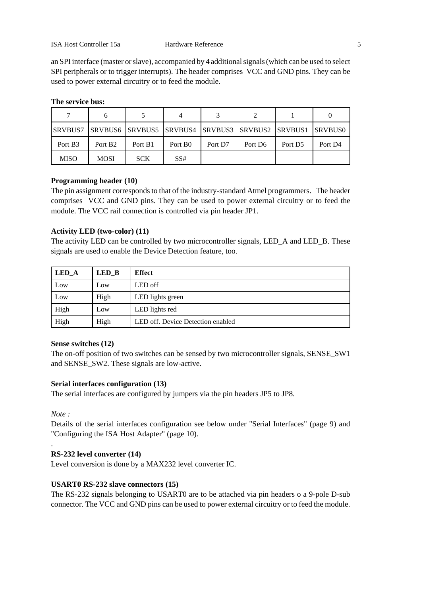an SPI interface (master or slave), accompanied by 4 additional signals (which can be used to select SPI peripherals or to trigger interrupts). The header comprises VCC and GND pins. They can be used to power external circuitry or to feed the module.

| SRVBUS7 SRVBUS6 SRVBUS5 SRVBUS4 SRVBUS3 SRVBUS2 SRVBUS1 SRVBUS0 |                     |            |                     |         |                     |                     |                     |
|-----------------------------------------------------------------|---------------------|------------|---------------------|---------|---------------------|---------------------|---------------------|
| Port B3                                                         | Port B <sub>2</sub> | Port B1    | Port B <sub>0</sub> | Port D7 | Port D <sub>6</sub> | Port D <sub>5</sub> | Port D <sub>4</sub> |
| <b>MISO</b>                                                     | <b>MOSI</b>         | <b>SCK</b> | SS#                 |         |                     |                     |                     |

### **The service bus:**

### **Programming header (10)**

The pin assignment corresponds to that of the industry-standard Atmel programmers. The header comprises VCC and GND pins. They can be used to power external circuitry or to feed the module. The VCC rail connection is controlled via pin header JP1.

### **Activity LED (two-color) (11)**

The activity LED can be controlled by two microcontroller signals, LED\_A and LED\_B. These signals are used to enable the Device Detection feature, too.

| LED_A | $LED$ <sub>B</sub> | <b>Effect</b>                     |
|-------|--------------------|-----------------------------------|
| Low   | Low                | LED off                           |
| Low   | High               | LED lights green                  |
| High  | Low                | LED lights red                    |
| High  | High               | LED off. Device Detection enabled |

### **Sense switches (12)**

The on-off position of two switches can be sensed by two microcontroller signals, SENSE\_SW1 and SENSE\_SW2. These signals are low-active.

### **Serial interfaces configuration (13)**

The serial interfaces are configured by jumpers via the pin headers JP5 to JP8.

*Note :*

.

Details of the serial interfaces configuration see below under "Serial Interfaces" (page 9) and "Configuring the ISA Host Adapter" (page 10).

### **RS-232 level converter (14)**

Level conversion is done by a MAX232 level converter IC.

### **USART0 RS-232 slave connectors (15)**

The RS-232 signals belonging to USART0 are to be attached via pin headers o a 9-pole D-sub connector. The VCC and GND pins can be used to power external circuitry or to feed the module.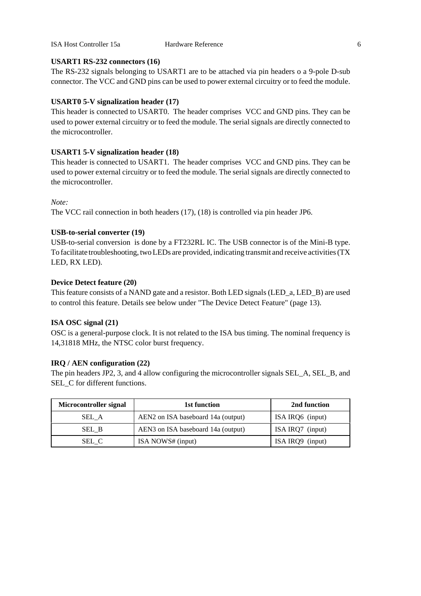### **USART1 RS-232 connectors (16)**

The RS-232 signals belonging to USART1 are to be attached via pin headers o a 9-pole D-sub connector. The VCC and GND pins can be used to power external circuitry or to feed the module.

### **USART0 5-V signalization header (17)**

This header is connected to USART0. The header comprises VCC and GND pins. They can be used to power external circuitry or to feed the module. The serial signals are directly connected to the microcontroller.

### **USART1 5-V signalization header (18)**

This header is connected to USART1. The header comprises VCC and GND pins. They can be used to power external circuitry or to feed the module. The serial signals are directly connected to the microcontroller.

### *Note:*

The VCC rail connection in both headers (17), (18) is controlled via pin header JP6.

### **USB-to-serial converter (19)**

USB-to-serial conversion is done by a FT232RL IC. The USB connector is of the Mini-B type. To facilitate troubleshooting, two LEDs are provided, indicating transmit and receive activities (TX LED, RX LED).

### **Device Detect feature (20)**

This feature consists of a NAND gate and a resistor. Both LED signals (LED\_a, LED\_B) are used to control this feature. Details see below under "The Device Detect Feature" (page 13).

### **ISA OSC signal (21)**

OSC is a general-purpose clock. It is not related to the ISA bus timing. The nominal frequency is 14,31818 MHz, the NTSC color burst frequency.

### **IRQ / AEN configuration (22)**

The pin headers JP2, 3, and 4 allow configuring the microcontroller signals SEL\_A, SEL\_B, and SEL\_C for different functions.

| Microcontroller signal | 1st function                       | 2nd function     |
|------------------------|------------------------------------|------------------|
| SEL A                  | AEN2 on ISA baseboard 14a (output) | ISA IRQ6 (input) |
| SEL B                  | AEN3 on ISA baseboard 14a (output) | ISA IRQ7 (input) |
| SEL C                  | ISA NOWS# (input)                  | ISA IRQ9 (input) |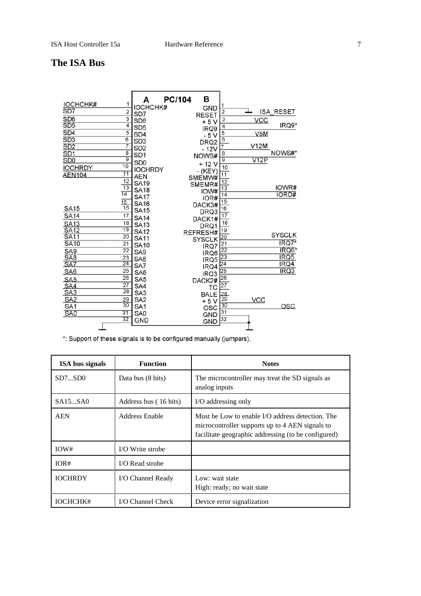# **The ISA Bus**

| <b>IOCHCHK#</b><br>1                         | A                           | PC/104<br>в               | 1               |            |                            |
|----------------------------------------------|-----------------------------|---------------------------|-----------------|------------|----------------------------|
| SD7<br>2                                     | <b>IOCHCHK#</b><br>SD7      | <b>GND</b>                | $\overline{2}$  |            | <b>ISA RESET</b>           |
| $\overline{\overline{3}}$<br>SD <sub>6</sub> | SD <sub>6</sub>             | <b>RESET</b>              | $\overline{3}$  | <b>VCC</b> |                            |
| SD5<br>$\overline{4}$                        | SD <sub>5</sub>             | $+5V$                     | 4               |            | IRQ9*                      |
| $\overline{5}$<br>SD4                        | SD <sub>4</sub>             | IRQ9                      | 5               | V5M        |                            |
| $\overline{6}$<br>$\overline{SD3}$           | SD <sub>3</sub>             | $-5V$<br>DRQ <sub>2</sub> | 6               |            |                            |
| 7<br>SD2                                     | SD <sub>2</sub>             | $-12V$                    |                 | V12M       |                            |
| $\overline{8}$<br>SD <sub>1</sub>            | SD <sub>1</sub>             | NOWS#                     | 8               |            | NOWS#*                     |
| $\overline{9}$<br>S <sub>D</sub> O           | S <sub>D</sub> <sub>0</sub> | $+12V$                    | $\overline{9}$  | V12P       |                            |
| $\overline{10}$<br><b>IOCHRDY</b>            | <b>IOCHRDY</b>              |                           | $\frac{10}{11}$ |            |                            |
| $\overline{11}$<br><b>AEN104</b>             | <b>AEN</b>                  | - (KEY)<br>SMEMW#         |                 |            |                            |
| 12                                           | <b>SA19</b>                 | SMEMR#                    | 12              |            |                            |
| $\overline{13}$                              | <b>SA18</b>                 | IOW#                      | $\overline{13}$ |            | IOWR#                      |
| $\overline{14}$                              | <b>SA17</b>                 | IOR#                      | 14              |            | <b>IORD#</b>               |
| $\frac{15}{16}$                              | <b>SA16</b>                 | DACK3#                    | $\overline{15}$ |            |                            |
| <b>SA15</b>                                  | <b>SA15</b>                 | DRQ3                      | 16              |            |                            |
| 17<br>SA14                                   | <b>SA14</b>                 | DACK1#                    | $\overline{17}$ |            |                            |
| 18<br><b>SA13</b>                            | <b>SA13</b>                 | DRQ1                      | 18              |            |                            |
| 19<br>SA12                                   | <b>SA12</b>                 | REFRESH#                  | 19              |            |                            |
| <b>SA11</b><br>$\overline{20}$               | <b>SA11</b>                 | <b>SYSCLK</b>             | $\overline{20}$ |            | <b>SYSCLK</b>              |
| <b>SA10</b><br>$\overline{21}$               | <b>SA10</b>                 | IRQ7                      | $\frac{21}{22}$ |            | $\overline{\text{IRQ7}}^*$ |
| $\overline{22}$<br>SA9                       | SA <sub>9</sub>             | IRQ6                      |                 |            | IRQ6*                      |
| SAB<br>23                                    | SA <sub>8</sub>             | IRQ5                      | 23              |            | IRQ5<br>IRQ4               |
| $\overline{24}$<br>SA7<br>$\overline{25}$    | SA7                         | IRQ4                      | 24              |            |                            |
| SA <sub>6</sub><br>$\overline{26}$           | SA6                         | IRQ3                      | $\overline{25}$ |            | IRQ3                       |
| SA <sub>5</sub>                              | SA <sub>5</sub>             | DACK2#                    | $\overline{26}$ |            |                            |
| $\overline{27}$<br>SA4<br>$\overline{28}$    | SA4                         | ТC                        | $\overline{27}$ |            |                            |
| SA <sub>3</sub>                              | SA <sub>3</sub>             | <b>BALE</b>               | $\frac{28}{29}$ |            |                            |
| SA <sub>2</sub><br>29<br>$\overline{30}$     | SA <sub>2</sub>             | $+5V$                     | 30              | <b>VCC</b> |                            |
| SA <sub>1</sub><br>31                        | SA <sub>1</sub>             | OSC                       | 31              |            | OSC                        |
| SA <sub>0</sub><br>32                        | SA0<br><b>GND</b>           | <b>GND</b>                | 32              |            |                            |
|                                              |                             | <b>GND</b>                |                 |            |                            |

\*: Support of these signals is to be configured manually (jumpers).

| <b>ISA</b> bus signals | <b>Function</b>       | <b>Notes</b>                                                                                                                                               |
|------------------------|-----------------------|------------------------------------------------------------------------------------------------------------------------------------------------------------|
| SD7SD0                 | Data bus (8 bits)     | The microcontroller may treat the SD signals as<br>analog inputs                                                                                           |
| SA15SA0                | Address bus (16 bits) | I/O addressing only                                                                                                                                        |
| <b>AEN</b>             | Address Enable        | Must be Low to enable I/O address detection. The<br>microcontroller supports up to 4 AEN signals to<br>facilitate geographic addressing (to be configured) |
| IOW#                   | I/O Write strobe      |                                                                                                                                                            |
| IOR#                   | I/O Read strobe       |                                                                                                                                                            |
| <b>IOCHRDY</b>         | I/O Channel Ready     | Low: wait state<br>High: ready; no wait state                                                                                                              |
| IOCHCHK#               | I/O Channel Check     | Device error signalization                                                                                                                                 |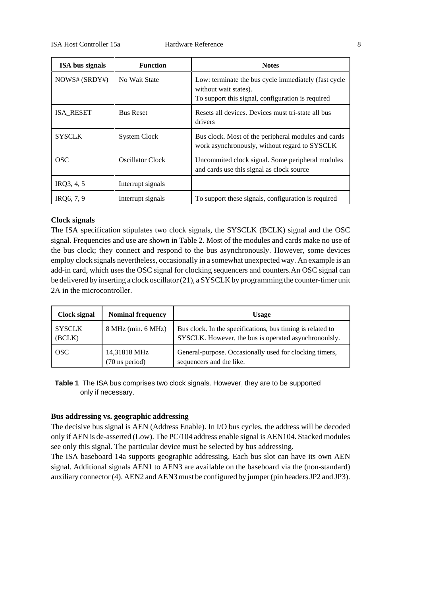| <b>ISA</b> bus signals | <b>Function</b>     | <b>Notes</b>                                                                                                                       |
|------------------------|---------------------|------------------------------------------------------------------------------------------------------------------------------------|
| NOWS# (SRDY#)          | No Wait State       | Low: terminate the bus cycle immediately (fast cycle<br>without wait states).<br>To support this signal, configuration is required |
| <b>ISA RESET</b>       | <b>Bus Reset</b>    | Resets all devices. Devices must tri-state all bus<br>drivers                                                                      |
| <b>SYSCLK</b>          | <b>System Clock</b> | Bus clock. Most of the peripheral modules and cards<br>work asynchronously, without regard to SYSCLK                               |
| OSC.                   | Oscillator Clock    | Uncommited clock signal. Some peripheral modules<br>and cards use this signal as clock source                                      |
| IRQ3, 4, 5             | Interrupt signals   |                                                                                                                                    |
| IRO6, 7, 9             | Interrupt signals   | To support these signals, configuration is required                                                                                |

### **Clock signals**

The ISA specification stipulates two clock signals, the SYSCLK (BCLK) signal and the OSC signal. Frequencies and use are shown in Table 2. Most of the modules and cards make no use of the bus clock; they connect and respond to the bus asynchronously. However, some devices employ clock signals nevertheless, occasionally in a somewhat unexpected way. An example is an add-in card, which uses the OSC signal for clocking sequencers and counters.An OSC signal can be delivered by inserting a clock oscillator (21), a SYSCLK by programming the counter-timer unit 2A in the microcontroller.

| Clock signal            | <b>Nominal frequency</b>                 | <b>Usage</b>                                                                                                        |
|-------------------------|------------------------------------------|---------------------------------------------------------------------------------------------------------------------|
| <b>SYSCLK</b><br>(BCLK) | 8 MHz (min. 6 MHz)                       | Bus clock. In the specifications, bus timing is related to<br>SYSCLK. However, the bus is operated asynchronoulsly. |
| <b>OSC</b>              | 14,31818 MHz<br>$(70 \text{ ns period})$ | General-purpose. Occasionally used for clocking timers,<br>sequencers and the like.                                 |

**Table 1** The ISA bus comprises two clock signals. However, they are to be supported only if necessary.

### **Bus addressing vs. geographic addressing**

The decisive bus signal is AEN (Address Enable). In I/O bus cycles, the address will be decoded only if AEN is de-asserted (Low). The PC/104 address enable signal is AEN104. Stacked modules see only this signal. The particular device must be selected by bus addressing.

The ISA baseboard 14a supports geographic addressing. Each bus slot can have its own AEN signal. Additional signals AEN1 to AEN3 are available on the baseboard via the (non-standard) auxiliary connector (4). AEN2 and AEN3 must be configured by jumper (pin headers JP2 and JP3).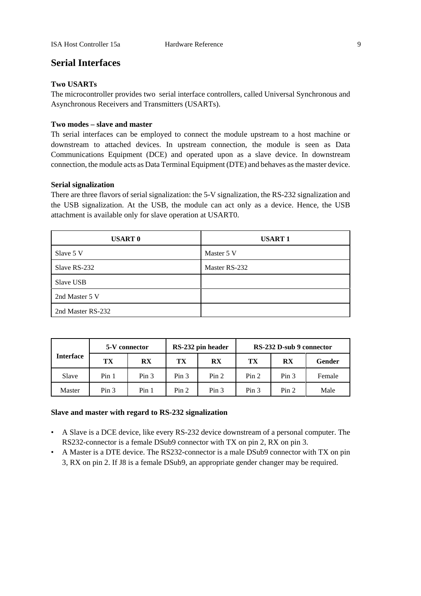## **Serial Interfaces**

### **Two USARTs**

The microcontroller provides two serial interface controllers, called Universal Synchronous and Asynchronous Receivers and Transmitters (USARTs).

### **Two modes – slave and master**

Th serial interfaces can be employed to connect the module upstream to a host machine or downstream to attached devices. In upstream connection, the module is seen as Data Communications Equipment (DCE) and operated upon as a slave device. In downstream connection, the module acts as Data Terminal Equipment (DTE) and behaves as the master device.

### **Serial signalization**

There are three flavors of serial signalization: the 5-V signalization, the RS-232 signalization and the USB signalization. At the USB, the module can act only as a device. Hence, the USB attachment is available only for slave operation at USART0.

| <b>USART 0</b>    | <b>USART1</b> |
|-------------------|---------------|
| Slave 5 V         | Master 5 V    |
| Slave RS-232      | Master RS-232 |
| Slave USB         |               |
| 2nd Master 5 V    |               |
| 2nd Master RS-232 |               |

|                  | 5-V connector    |                        |                  | RS-232 pin header      | RS-232 D-sub 9 connector |                        |        |
|------------------|------------------|------------------------|------------------|------------------------|--------------------------|------------------------|--------|
| <b>Interface</b> | TX               | $\mathbf{R}\mathbf{X}$ | TX               | $\mathbf{R}\mathbf{X}$ | TX                       | $\mathbf{R}\mathbf{X}$ | Gender |
| Slave            | Pin <sub>1</sub> | Pin <sub>3</sub>       | Pin <sub>3</sub> | Pin 2                  | Pin 2                    | Pin <sub>3</sub>       | Female |
| Master           | Pin <sub>3</sub> | Pin <sub>1</sub>       | Pin <sub>2</sub> | Pin <sub>3</sub>       | Pin <sub>3</sub>         | Pin <sub>2</sub>       | Male   |

### **Slave and master with regard to RS-232 signalization**

- A Slave is a DCE device, like every RS-232 device downstream of a personal computer. The RS232-connector is a female DSub9 connector with TX on pin 2, RX on pin 3.
- A Master is a DTE device. The RS232-connector is a male DSub9 connector with TX on pin 3, RX on pin 2. If J8 is a female DSub9, an appropriate gender changer may be required.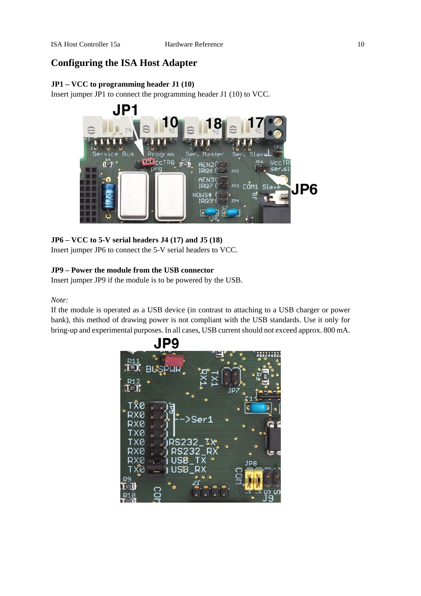# **Configuring the ISA Host Adapter**

## **JP1 – VCC to programming header J1 (10)**

Insert jumper JP1 to connect the programming header J1 (10) to VCC.



## **JP6 – VCC to 5-V serial headers J4 (17) and J5 (18)**

Insert jumper JP6 to connect the 5-V serial headers to VCC.

### **JP9 – Power the module from the USB connector**

Insert jumper JP9 if the module is to be powered by the USB.

### *Note:*

If the module is operated as a USB device (in contrast to attaching to a USB charger or power bank), this method of drawing power is not compliant with the USB standards. Use it only for bring-up and experimental purposes. In all cases, USB current should not exceed approx. 800 mA.

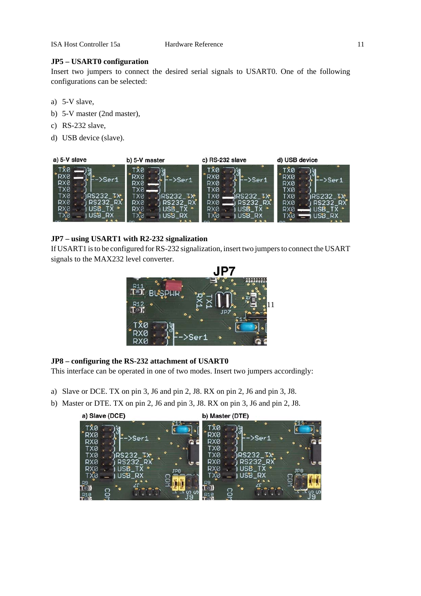### **JP5 – USART0 configuration**

Insert two jumpers to connect the desired serial signals to USART0. One of the following configurations can be selected:

- a) 5-V slave,
- b) 5-V master (2nd master),
- c) RS-232 slave,
- d) USB device (slave).



### **JP7 – using USART1 with R2-232 signalization**

If USART1 is to be configured for RS-232 signalization, insert two jumpers to connect the USART signals to the MAX232 level converter.



### **JP8 – configuring the RS-232 attachment of USART0**

This interface can be operated in one of two modes. Insert two jumpers accordingly:

- a) Slave or DCE. TX on pin 3, J6 and pin 2, J8. RX on pin 2, J6 and pin 3, J8.
- b) Master or DTE. TX on pin 2, J6 and pin 3, J8. RX on pin 3, J6 and pin 2, J8.

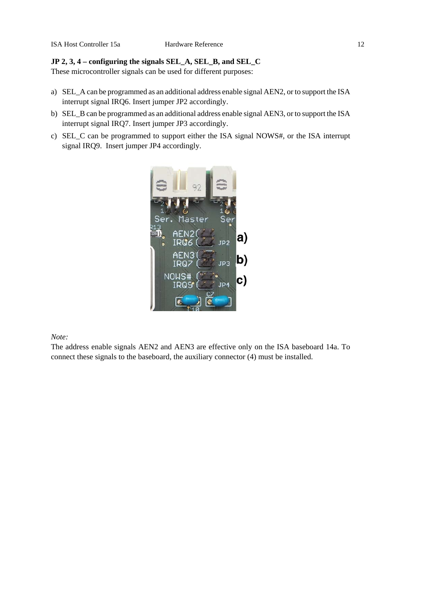### **JP 2, 3, 4 – configuring the signals SEL\_A, SEL\_B, and SEL\_C**

These microcontroller signals can be used for different purposes:

- a) SEL\_A can be programmed as an additional address enable signal AEN2, or to support the ISA interrupt signal IRQ6. Insert jumper JP2 accordingly.
- b) SEL\_B can be programmed as an additional address enable signal AEN3, or to support the ISA interrupt signal IRQ7. Insert jumper JP3 accordingly.
- c) SEL\_C can be programmed to support either the ISA signal NOWS#, or the ISA interrupt signal IRQ9. Insert jumper JP4 accordingly.



*Note:*

The address enable signals AEN2 and AEN3 are effective only on the ISA baseboard 14a. To connect these signals to the baseboard, the auxiliary connector (4) must be installed.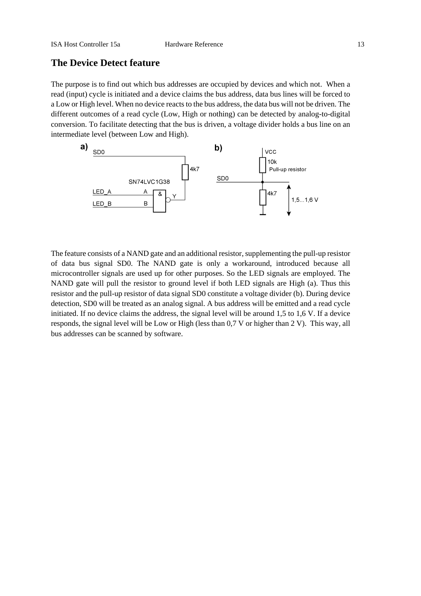## **The Device Detect feature**

The purpose is to find out which bus addresses are occupied by devices and which not. When a read (input) cycle is initiated and a device claims the bus address, data bus lines will be forced to a Low or High level. When no device reacts to the bus address, the data bus will not be driven. The different outcomes of a read cycle (Low, High or nothing) can be detected by analog-to-digital conversion. To facilitate detecting that the bus is driven, a voltage divider holds a bus line on an intermediate level (between Low and High).



The feature consists of a NAND gate and an additional resistor, supplementing the pull-up resistor of data bus signal SD0. The NAND gate is only a workaround, introduced because all microcontroller signals are used up for other purposes. So the LED signals are employed. The NAND gate will pull the resistor to ground level if both LED signals are High (a). Thus this resistor and the pull-up resistor of data signal SD0 constitute a voltage divider (b). During device detection, SD0 will be treated as an analog signal. A bus address will be emitted and a read cycle initiated. If no device claims the address, the signal level will be around 1,5 to 1,6 V. If a device responds, the signal level will be Low or High (less than 0,7 V or higher than 2 V). This way, all bus addresses can be scanned by software.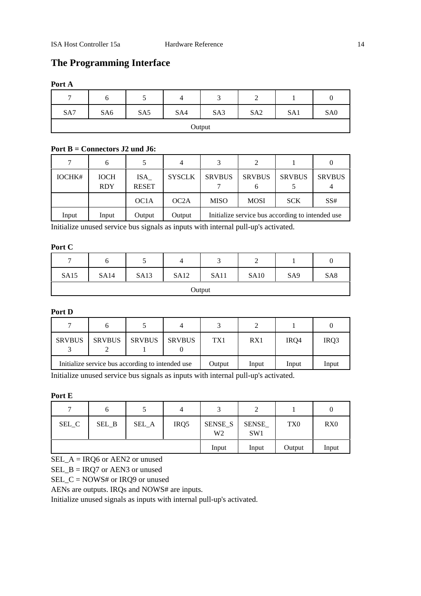# **The Programming Interface**

### **Port A**

| $\mathbf{r}$ | O               | ◡   |     | ◡   | ∼               |     |                 |
|--------------|-----------------|-----|-----|-----|-----------------|-----|-----------------|
| SA7          | SA <sub>6</sub> | SA5 | SA4 | SA3 | SA <sub>2</sub> | SA1 | SA <sub>0</sub> |
| Output       |                 |     |     |     |                 |     |                 |

### **Port B = Connectors J2 und J6:**

|        | 6                         |                     | 4             |                                                   |                    |               | 0             |
|--------|---------------------------|---------------------|---------------|---------------------------------------------------|--------------------|---------------|---------------|
| IOCHK# | <b>IOCH</b><br><b>RDY</b> | ISA<br><b>RESET</b> | <b>SYSCLK</b> | <b>SRVBUS</b>                                     | <b>SRVBUS</b><br>b | <b>SRVBUS</b> | <b>SRVBUS</b> |
|        |                           | OC <sub>1</sub> A   | OC2A          | <b>MISO</b>                                       | <b>MOSI</b>        | <b>SCK</b>    | SS#           |
| Input  | Input                     | Output              | Output        | Initialize service bus according to intended use. |                    |               |               |

Initialize unused service bus signals as inputs with internal pull-up's activated.

### **Port C**

| $\mathbf{r}$ | O           |             | 4           | ⌒<br>◡ | ∸           |                 |                 |
|--------------|-------------|-------------|-------------|--------|-------------|-----------------|-----------------|
| <b>SA15</b>  | <b>SA14</b> | <b>SA13</b> | <b>SA12</b> | SA11   | <b>SA10</b> | SA <sub>9</sub> | SA <sub>8</sub> |
| Output       |             |             |             |        |             |                 |                 |

### **Port D**

| <b>SRVBUS</b>                                    | <b>SRVBUS</b> | <b>SRVBUS</b> | <b>SRVBUS</b> | TX1   | RX1   | IR <sub>O4</sub> | IR <sub>O</sub> 3 |
|--------------------------------------------------|---------------|---------------|---------------|-------|-------|------------------|-------------------|
| Initialize service bus according to intended use |               |               | Output        | Input | Input | Input            |                   |

Initialize unused service bus signals as inputs with internal pull-up's activated.

### **Port E**

| $\mathbf{r}$ |       |       |       |                           | ∠                        |                 |                 |
|--------------|-------|-------|-------|---------------------------|--------------------------|-----------------|-----------------|
| SEL_C        | SEL_B | SEL_A | IRQ5  | SENSE_S<br>W <sub>2</sub> | SENSE<br>SW <sub>1</sub> | TX <sub>0</sub> | RX <sub>0</sub> |
|              |       |       | Input | Input                     | Output                   | Input           |                 |

SEL\_A = IRQ6 or AEN2 or unused

SEL\_B = IRQ7 or AEN3 or unused

SEL\_C = NOWS# or IRQ9 or unused

AENs are outputs. IRQs and NOWS# are inputs.

Initialize unused signals as inputs with internal pull-up's activated.